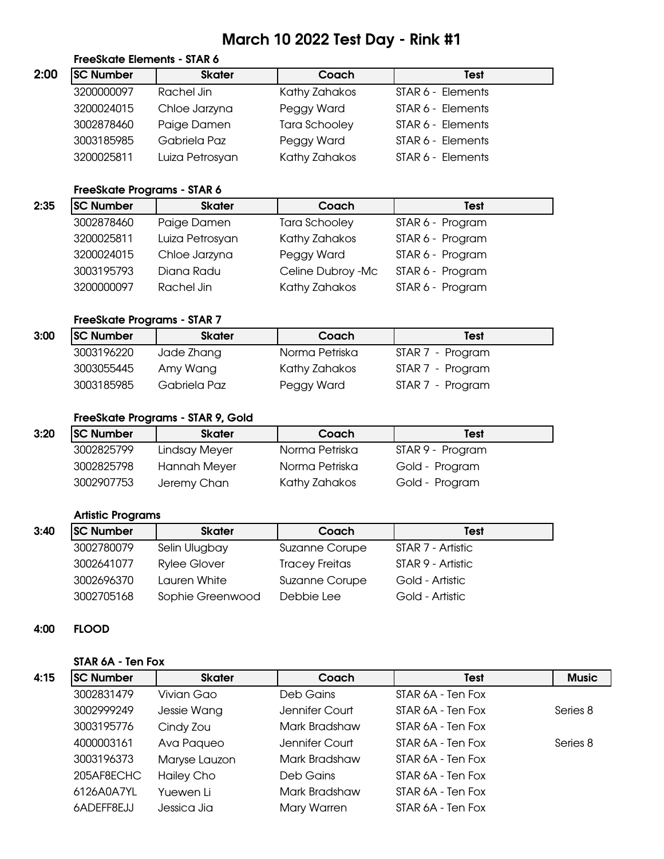# March 10 2022 Test Day - Rink #1

|      | FreeSkate Elements - STAR 6 |                 |                      |                   |
|------|-----------------------------|-----------------|----------------------|-------------------|
| 2:00 | <b>SC Number</b>            | <b>Skater</b>   | Coach                | <b>Test</b>       |
|      | 3200000097                  | Rachel Jin      | Kathy Zahakos        | STAR 6 - Elements |
|      | 3200024015                  | Chloe Jarzyna   | Peggy Ward           | STAR 6 - Elements |
|      | 3002878460                  | Paige Damen     | <b>Tara Schooley</b> | STAR 6 - Elements |
|      | 3003185985                  | Gabriela Paz    | Peggy Ward           | STAR 6 - Elements |
|      | 3200025811                  | Luiza Petrosyan | Kathy Zahakos        | STAR 6 - Elements |

### FreeSkate Programs - STAR 6

| 2:35 | <b>SC Number</b> | <b>Skater</b>   | Coach                | <b>Test</b>      |
|------|------------------|-----------------|----------------------|------------------|
|      | 3002878460       | Paige Damen     | <b>Tara Schooley</b> | STAR 6 - Program |
|      | 3200025811       | Luiza Petrosyan | Kathy Zahakos        | STAR 6 - Program |
|      | 3200024015       | Chloe Jarzyna   | Peggy Ward           | STAR 6 - Program |
|      | 3003195793       | Diana Radu      | Celine Dubroy -Mc    | STAR 6 - Program |
|      | 3200000097       | Rachel Jin      | Kathy Zahakos        | STAR 6 - Program |

### FreeSkate Programs - STAR 7

| 3:00 | <b>SC Number</b> | <b>Skater</b> | Coach          | <b>Test</b>      |
|------|------------------|---------------|----------------|------------------|
|      | 3003196220       | Jade Zhang    | Norma Petriska | STAR 7 - Program |
|      | 3003055445       | Amy Wang      | Kathy Zahakos  | STAR 7 - Program |
|      | 3003185985       | Gabriela Paz  | Peggy Ward     | STAR 7 - Program |

### FreeSkate Programs - STAR 9, Gold

| 3:20 | <b>SC Number</b> | <b>Skater</b>       | Coach          | Test             |
|------|------------------|---------------------|----------------|------------------|
|      | 3002825799       | Lindsay Meyer       | Norma Petriska | STAR 9 - Program |
|      | 3002825798       | <b>Hannah Meyer</b> | Norma Petriska | Gold - Program   |
|      | 3002907753       | Jeremy Chan         | Kathy Zahakos  | Gold - Program   |

### Artistic Programs

| 3:40 | <b>SC Number</b> | <b>Skater</b>       | Coach                 | Test              |
|------|------------------|---------------------|-----------------------|-------------------|
|      | 3002780079       | Selin Ulugbay       | <b>Suzanne Corupe</b> | STAR 7 - Artistic |
|      | 3002641077       | <b>Rylee Glover</b> | <b>Tracey Freitas</b> | STAR 9 - Artistic |
|      | 3002696370       | Lauren White        | <b>Suzanne Corupe</b> | Gold - Artistic   |
|      | 3002705168       | Sophie Greenwood    | Debbie Lee            | Gold - Artistic   |

### 4:00 FLOOD

#### STAR 6A - Ten Fox

| 4:15 | <b>SC Number</b> | <b>Skater</b> | Coach          | <b>Test</b>       | <b>Music</b> |
|------|------------------|---------------|----------------|-------------------|--------------|
|      | 3002831479       | Vivian Gao    | Deb Gains      | STAR 6A - Ten Fox |              |
|      | 3002999249       | Jessie Wang   | Jennifer Court | STAR 6A - Ten Fox | Series 8     |
|      | 3003195776       | Cindy Zou     | Mark Bradshaw  | STAR 6A - Ten Fox |              |
|      | 4000003161       | Ava Paqueo    | Jennifer Court | STAR 6A - Ten Fox | Series 8     |
|      | 3003196373       | Maryse Lauzon | Mark Bradshaw  | STAR 6A - Ten Fox |              |
|      | 205AF8ECHC       | Hailey Cho    | Deb Gains      | STAR 6A - Ten Fox |              |
|      | 6126A0A7YL       | Yuewen Li     | Mark Bradshaw  | STAR 6A - Ten Fox |              |
|      | 6ADEFF8EJJ       | Jessica Jia   | Mary Warren    | STAR 6A - Ten Fox |              |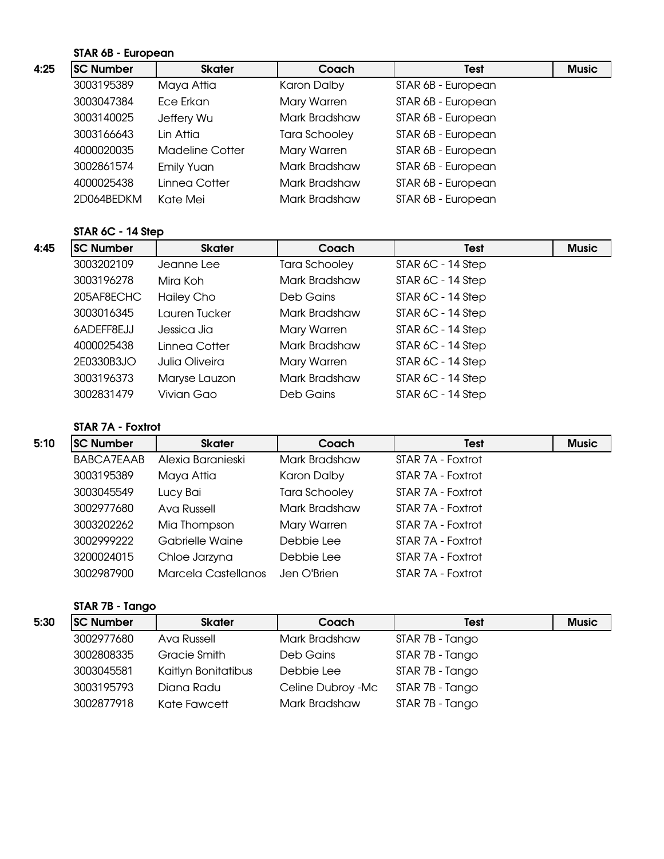### STAR 6B - European

| <b>SC Number</b><br><b>Skater</b><br>Coach<br><b>Test</b><br>3003195389<br>Maya Attia<br>Karon Dalby<br>STAR 6B - European<br>STAR 6B - European<br>3003047384<br>Ece Erkan<br>Mary Warren<br>3003140025<br>STAR 6B - European<br>Mark Bradshaw<br>Jeffery Wu<br>Lin Attia<br>STAR 6B - European<br>3003166643<br><b>Tara Schooley</b> |              |
|----------------------------------------------------------------------------------------------------------------------------------------------------------------------------------------------------------------------------------------------------------------------------------------------------------------------------------------|--------------|
|                                                                                                                                                                                                                                                                                                                                        | <b>Music</b> |
|                                                                                                                                                                                                                                                                                                                                        |              |
|                                                                                                                                                                                                                                                                                                                                        |              |
|                                                                                                                                                                                                                                                                                                                                        |              |
|                                                                                                                                                                                                                                                                                                                                        |              |
| STAR 6B - European<br>4000020035<br>Mary Warren<br><b>Madeline Cotter</b>                                                                                                                                                                                                                                                              |              |
| STAR 6B - European<br>3002861574<br>Mark Bradshaw<br><b>Emily Yuan</b>                                                                                                                                                                                                                                                                 |              |
| STAR 6B - European<br>4000025438<br>Linnea Cotter<br>Mark Bradshaw                                                                                                                                                                                                                                                                     |              |
| STAR 6B - European<br>2D064BEDKM<br>Kate Mei<br>Mark Bradshaw                                                                                                                                                                                                                                                                          |              |

#### STAR 6C - 14 Step

| 4:45 | <b>SC Number</b> | <b>Skater</b>  | Coach         | <b>Test</b>         | <b>Music</b> |
|------|------------------|----------------|---------------|---------------------|--------------|
|      | 3003202109       | Jeanne Lee     | Tara Schooley | STAR $6C - 14$ Step |              |
|      | 3003196278       | Mira Koh       | Mark Bradshaw | STAR $6C - 14$ Step |              |
|      | 205AF8ECHC       | Hailey Cho     | Deb Gains     | $STAR 6C - 14 Step$ |              |
|      | 3003016345       | Lauren Tucker  | Mark Bradshaw | STAR $6C - 14$ Step |              |
|      | 6ADEFF8EJJ       | Jessica Jia    | Mary Warren   | STAR $6C - 14$ Step |              |
|      | 4000025438       | Linnea Cotter  | Mark Bradshaw | STAR $6C - 14$ Step |              |
|      | 2E0330B3JO       | Julia Oliveira | Mary Warren   | $STAR 6C - 14 Step$ |              |
|      | 3003196373       | Maryse Lauzon  | Mark Bradshaw | STAR $6C - 14$ Step |              |
|      | 3002831479       | Vivian Gao     | Deb Gains     | $STAR 6C - 14 Step$ |              |

### STAR 7A - Foxtrot

| 5:10 | <b>SC Number</b>  | <b>Skater</b>       | Coach                | <b>Test</b>       | <b>Music</b> |
|------|-------------------|---------------------|----------------------|-------------------|--------------|
|      | <b>BABCA7EAAB</b> | Alexia Baranieski   | Mark Bradshaw        | STAR 7A - Foxtrot |              |
|      | 3003195389        | Maya Attia          | Karon Dalby          | STAR 7A - Foxtrot |              |
|      | 3003045549        | Lucy Bai            | <b>Tara Schooley</b> | STAR 7A - Foxtrot |              |
|      | 3002977680        | Ava Russell         | Mark Bradshaw        | STAR 7A - Foxtrot |              |
|      | 3003202262        | Mia Thompson        | Mary Warren          | STAR 7A - Foxtrot |              |
|      | 3002999222        | Gabrielle Waine     | Debbie Lee           | STAR 7A - Foxtrot |              |
|      | 3200024015        | Chloe Jarzyna       | Debbie Lee           | STAR 7A - Foxtrot |              |
|      | 3002987900        | Marcela Castellanos | Jen O'Brien          | STAR 7A - Foxtrot |              |

### STAR 7B - Tango

| 5:30 | <b>SC Number</b> | <b>Skater</b>       | Coach             | <b>Test</b>     | <b>Music</b> |
|------|------------------|---------------------|-------------------|-----------------|--------------|
|      | 3002977680       | Ava Russell         | Mark Bradshaw     | STAR 7B - Tango |              |
|      | 3002808335       | Gracie Smith        | Deb Gains         | STAR 7B - Tango |              |
|      | 3003045581       | Kaitlyn Bonitatibus | Debbie Lee        | STAR 7B - Tango |              |
|      | 3003195793       | Diana Radu          | Celine Dubroy -Mc | STAR 7B - Tango |              |
|      | 3002877918       | Kate Fawcett        | Mark Bradshaw     | STAR 7B - Tango |              |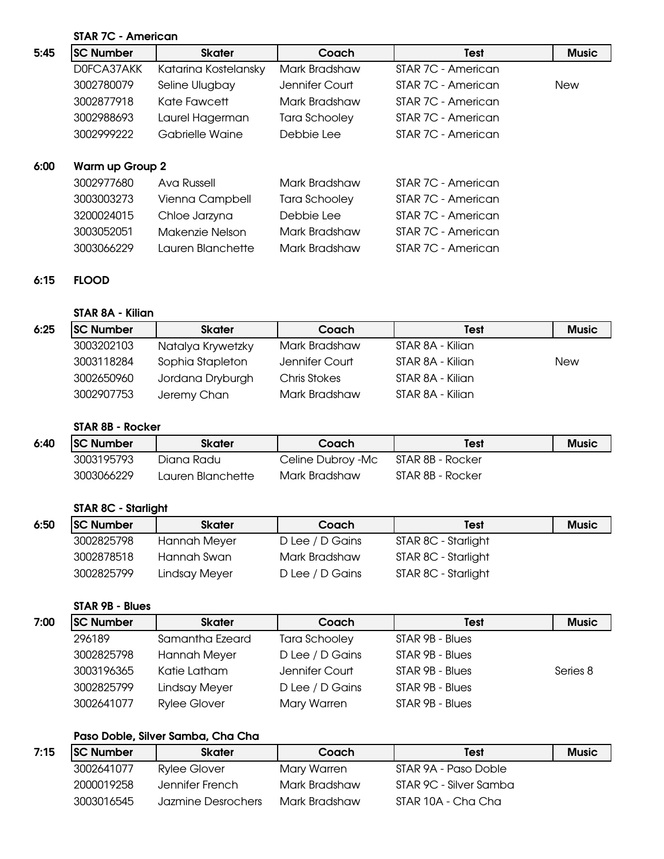## STAR 7C - American

| 5:45 | <b>SC Number</b>       | <b>Skater</b>        | Coach          | <b>Test</b>        | <b>Music</b> |
|------|------------------------|----------------------|----------------|--------------------|--------------|
|      | DOFCA37AKK             | Katarina Kostelansky | Mark Bradshaw  | STAR 7C - American |              |
|      | 3002780079             | Seline Ulugbay       | Jennifer Court | STAR 7C - American | <b>New</b>   |
|      | 3002877918             | Kate Fawcett         | Mark Bradshaw  | STAR 7C - American |              |
|      | 3002988693             | Laurel Hagerman      | Tara Schooley  | STAR 7C - American |              |
|      | 3002999222             | Gabrielle Waine      | Debbie Lee     | STAR 7C - American |              |
|      |                        |                      |                |                    |              |
| 6:00 | <b>Warm up Group 2</b> |                      |                |                    |              |
|      | 3002977680             | Ava Russell          | Mark Bradshaw  | STAR 7C - American |              |
|      | 3003003273             | Vienna Campbell      | Tara Schooley  | STAR 7C - American |              |
|      | 3200024015             | Chloe Jarzyna        | Debbie Lee     | STAR 7C - American |              |
|      | 3003052051             | Makenzie Nelson      | Mark Bradshaw  | STAR 7C - American |              |
|      | 3003066229             | Lauren Blanchette    | Mark Bradshaw  | STAR 7C - American |              |

### 6:15 FLOOD

### STAR 8A - Kilian

| 6:25 | <b>SC Number</b> | <b>Skater</b>     | Coach          | <b>Test</b>      | <b>Music</b> |
|------|------------------|-------------------|----------------|------------------|--------------|
|      | 3003202103       | Natalya Krywetzky | Mark Bradshaw  | STAR 8A - Kilian |              |
|      | 3003118284       | Sophia Stapleton  | Jennifer Court | STAR 8A - Kilian | <b>New</b>   |
|      | 3002650960       | Jordana Dryburgh  | Chris Stokes   | STAR 8A - Kilian |              |
|      | 3002907753       | Jeremy Chan       | Mark Bradshaw  | STAR 8A - Kilian |              |

### STAR 8B - Rocker

| 6:40 | <b>SC Number</b> | Skater            | Coach             | <b>Test</b>      | <b>Music</b> |
|------|------------------|-------------------|-------------------|------------------|--------------|
|      | 3003195793       | Diana Radu        | Celine Dubroy -Mc | STAR 8B - Rocker |              |
|      | 3003066229       | Lauren Blanchette | Mark Bradshaw     | STAR 8B - Rocker |              |

### STAR 8C - Starlight

| 6:50 | <b>SC Number</b> | <b>Skater</b>       | Coach           | <b>Test</b>         | <b>Music</b> |
|------|------------------|---------------------|-----------------|---------------------|--------------|
|      | 3002825798       | <b>Hannah Meyer</b> | D Lee / D Gains | STAR 8C - Starlight |              |
|      | 3002878518       | Hannah Swan         | Mark Bradshaw   | STAR 8C - Starlight |              |
|      | 3002825799       | Lindsay Meyer       | D Lee / D Gains | STAR 8C - Starlight |              |

### STAR 9B - Blues

| 7:00 | <b>SC Number</b> | <b>Skater</b>       | Coach           | <b>Test</b>     | <b>Music</b> |
|------|------------------|---------------------|-----------------|-----------------|--------------|
|      | 296189           | Samantha Ezeard     | Tara Schooley   | STAR 9B - Blues |              |
|      | 3002825798       | Hannah Meyer        | D Lee / D Gains | STAR 9B - Blues |              |
|      | 3003196365       | Katie Latham        | Jennifer Court  | STAR 9B - Blues | Series 8     |
|      | 3002825799       | Lindsay Meyer       | D Lee / D Gains | STAR 9B - Blues |              |
|      | 3002641077       | <b>Rylee Glover</b> | Mary Warren     | STAR 9B - Blues |              |

### Paso Doble, Silver Samba, Cha Cha

| 7:15 | <b>SC Number</b> | <b>Skater</b>      | Coach         | Test                   | <b>Music</b> |
|------|------------------|--------------------|---------------|------------------------|--------------|
|      | 3002641077       | Rylee Glover       | Mary Warren   | STAR 9A - Paso Doble   |              |
|      | 2000019258       | Jennifer French    | Mark Bradshaw | STAR 9C - Silver Samba |              |
|      | 3003016545       | Jazmine Desrochers | Mark Bradshaw | STAR 10A - Cha Cha     |              |